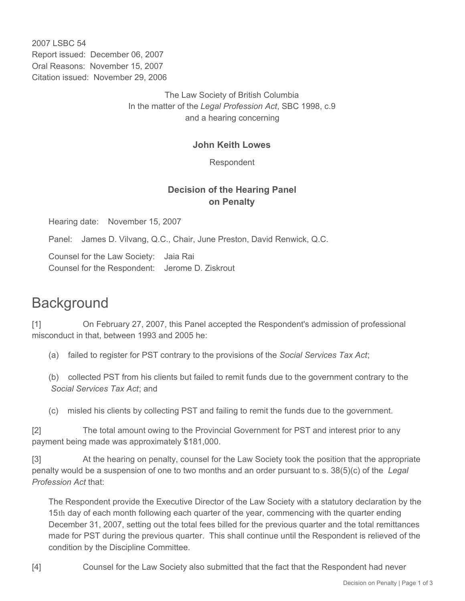2007 LSBC 54 Report issued: December 06, 2007 Oral Reasons: November 15, 2007 Citation issued: November 29, 2006

> The Law Society of British Columbia In the matter of the *Legal Profession Act*, SBC 1998, c.9 and a hearing concerning

## **John Keith Lowes**

Respondent

## **Decision of the Hearing Panel on Penalty**

Hearing date: November 15, 2007

Panel: James D. Vilvang, Q.C., Chair, June Preston, David Renwick, Q.C.

Counsel for the Law Society: Jaia Rai Counsel for the Respondent: Jerome D. Ziskrout

## **Background**

[1] On February 27, 2007, this Panel accepted the Respondent's admission of professional misconduct in that, between 1993 and 2005 he:

(a) failed to register for PST contrary to the provisions of the *Social Services Tax Act*;

(b) collected PST from his clients but failed to remit funds due to the government contrary to the *Social Services Tax Act*; and

(c) misled his clients by collecting PST and failing to remit the funds due to the government.

[2] The total amount owing to the Provincial Government for PST and interest prior to any payment being made was approximately \$181,000.

[3] At the hearing on penalty, counsel for the Law Society took the position that the appropriate penalty would be a suspension of one to two months and an order pursuant to s. 38(5)(c) of the *Legal Profession Act* that:

The Respondent provide the Executive Director of the Law Society with a statutory declaration by the 15th day of each month following each quarter of the year, commencing with the quarter ending December 31, 2007, setting out the total fees billed for the previous quarter and the total remittances made for PST during the previous quarter. This shall continue until the Respondent is relieved of the condition by the Discipline Committee.

[4] Counsel for the Law Society also submitted that the fact that the Respondent had never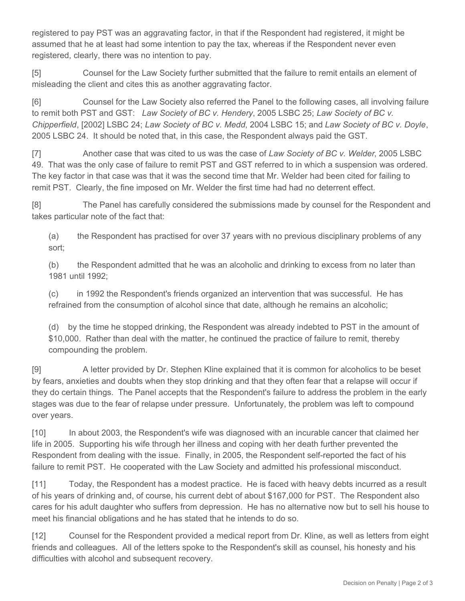registered to pay PST was an aggravating factor, in that if the Respondent had registered, it might be assumed that he at least had some intention to pay the tax, whereas if the Respondent never even registered, clearly, there was no intention to pay.

[5] Counsel for the Law Society further submitted that the failure to remit entails an element of misleading the client and cites this as another aggravating factor.

[6] Counsel for the Law Society also referred the Panel to the following cases, all involving failure to remit both PST and GST: *Law Society of BC v. Hendery*, 2005 LSBC 25; *Law Society of BC v. Chipperfield*, [2002] LSBC 24; *Law Society of BC v. Medd*, 2004 LSBC 15; and *Law Society of BC v. Doyle*, 2005 LSBC 24. It should be noted that, in this case, the Respondent always paid the GST.

[7] Another case that was cited to us was the case of *Law Society of BC v. Welder*, 2005 LSBC 49. That was the only case of failure to remit PST and GST referred to in which a suspension was ordered. The key factor in that case was that it was the second time that Mr. Welder had been cited for failing to remit PST. Clearly, the fine imposed on Mr. Welder the first time had had no deterrent effect.

[8] The Panel has carefully considered the submissions made by counsel for the Respondent and takes particular note of the fact that:

(a) the Respondent has practised for over 37 years with no previous disciplinary problems of any sort;

(b) the Respondent admitted that he was an alcoholic and drinking to excess from no later than 1981 until 1992;

(c) in 1992 the Respondent's friends organized an intervention that was successful. He has refrained from the consumption of alcohol since that date, although he remains an alcoholic;

(d) by the time he stopped drinking, the Respondent was already indebted to PST in the amount of \$10,000. Rather than deal with the matter, he continued the practice of failure to remit, thereby compounding the problem.

[9] A letter provided by Dr. Stephen Kline explained that it is common for alcoholics to be beset by fears, anxieties and doubts when they stop drinking and that they often fear that a relapse will occur if they do certain things. The Panel accepts that the Respondent's failure to address the problem in the early stages was due to the fear of relapse under pressure. Unfortunately, the problem was left to compound over years.

[10] In about 2003, the Respondent's wife was diagnosed with an incurable cancer that claimed her life in 2005. Supporting his wife through her illness and coping with her death further prevented the Respondent from dealing with the issue. Finally, in 2005, the Respondent self-reported the fact of his failure to remit PST. He cooperated with the Law Society and admitted his professional misconduct.

[11] Today, the Respondent has a modest practice. He is faced with heavy debts incurred as a result of his years of drinking and, of course, his current debt of about \$167,000 for PST. The Respondent also cares for his adult daughter who suffers from depression. He has no alternative now but to sell his house to meet his financial obligations and he has stated that he intends to do so.

[12] Counsel for the Respondent provided a medical report from Dr. Kline, as well as letters from eight friends and colleagues. All of the letters spoke to the Respondent's skill as counsel, his honesty and his difficulties with alcohol and subsequent recovery.